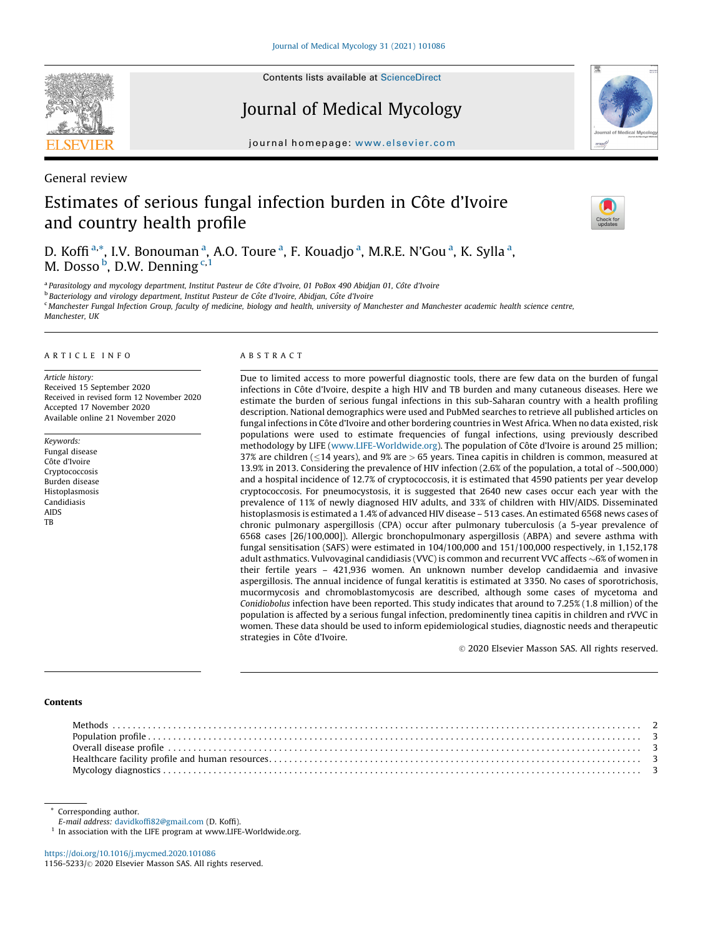

Contents lists available at [ScienceDirect](http://www.sciencedirect.com/science/journal/11565233)

Journal of Medical Mycology



journal homepage: <www.elsevier.com>

General review

# Estimates of serious fungal infection burden in Côte d'Ivoire and country health profile



D. Koffi<sup>a,\*</sup>, I.V. Bonouman<sup>a</sup>, A.O. Toure<sup>a</sup>, F. Kouadjo<sup>a</sup>, M.R.E. N'Gou<sup>a</sup>, K. Sylla<sup>a</sup>, M. Dosso <sup>b</sup>, D.W. Denning <sup>c, 1</sup>

a Parasitology and mycology department, Institut Pasteur de Côte d'Ivoire, 01 PoBox 490 Abidjan 01, Côte d'Ivoire

<sup>b</sup> Bacteriology and virology department, Institut Pasteur de Côte d'Ivoire, Abidjan, Côte d'Ivoire

<sup>c</sup> Manchester Fungal Infection Group, faculty of medicine, biology and health, university of Manchester and Manchester academic health science centre, Manchester, HK

## A R T I C L E I N F O

Article history: Received 15 September 2020 Received in revised form 12 November 2020 Accepted 17 November 2020 Available online 21 November 2020

Keywords: Fungal disease Côte d'Ivoire Cryptococcosis Burden disease Histoplasmosis Candidiasis AIDS **TR** 

# A B S T R A C T

Due to limited access to more powerful diagnostic tools, there are few data on the burden of fungal infections in Côte d'Ivoire, despite a high HIV and TB burden and many cutaneous diseases. Here we estimate the burden of serious fungal infections in this sub-Saharan country with a health profiling description. National demographics were used and PubMed searches to retrieve all published articles on fungal infections in Côte d'Ivoire and other bordering countries in West Africa. When no data existed, risk populations were used to estimate frequencies of fungal infections, using previously described methodology by LIFE ([www.LIFE-Worldwide.org\)](http://www.life-worldwide.org/). The population of Côte d'Ivoire is around 25 million; 37% are children ( $\leq$ 14 years), and 9% are > 65 years. Tinea capitis in children is common, measured at 13.9% in 2013. Considering the prevalence of HIV infection (2.6% of the population, a total of  $\sim$  500,000) and a hospital incidence of 12.7% of cryptococcosis, it is estimated that 4590 patients per year develop cryptococcosis. For pneumocystosis, it is suggested that 2640 new cases occur each year with the prevalence of 11% of newly diagnosed HIV adults, and 33% of children with HIV/AIDS. Disseminated histoplasmosis is estimated a 1.4% of advanced HIV disease – 513 cases. An estimated 6568 news cases of chronic pulmonary aspergillosis (CPA) occur after pulmonary tuberculosis (a 5-year prevalence of 6568 cases [26/100,000]). Allergic bronchopulmonary aspergillosis (ABPA) and severe asthma with fungal sensitisation (SAFS) were estimated in 104/100,000 and 151/100,000 respectively, in 1,152,178 adult asthmatics. Vulvovaginal candidiasis (VVC) is common and recurrent VVC affects  $\sim$  6% of women in their fertile years – 421,936 women. An unknown number develop candidaemia and invasive aspergillosis. The annual incidence of fungal keratitis is estimated at 3350. No cases of sporotrichosis, mucormycosis and chromoblastomycosis are described, although some cases of mycetoma and Conidiobolus infection have been reported. This study indicates that around to 7.25% (1.8 million) of the population is affected by a serious fungal infection, predominently tinea capitis in children and rVVC in women. These data should be used to inform epidemiological studies, diagnostic needs and therapeutic strategies in Côte d'Ivoire.

 $©$  2020 Elsevier Masson SAS. All rights reserved.

# Contents

\* Corresponding author.

E-mail address: <davidkoffi82@gmail.com> (D. Koffi).

 $^{\rm 1}$  In association with the LIFE program at www.LIFE-Worldwide.org.

<https://doi.org/10.1016/j.mycmed.2020.101086> 1156-5233/© 2020 Elsevier Masson SAS. All rights reserved.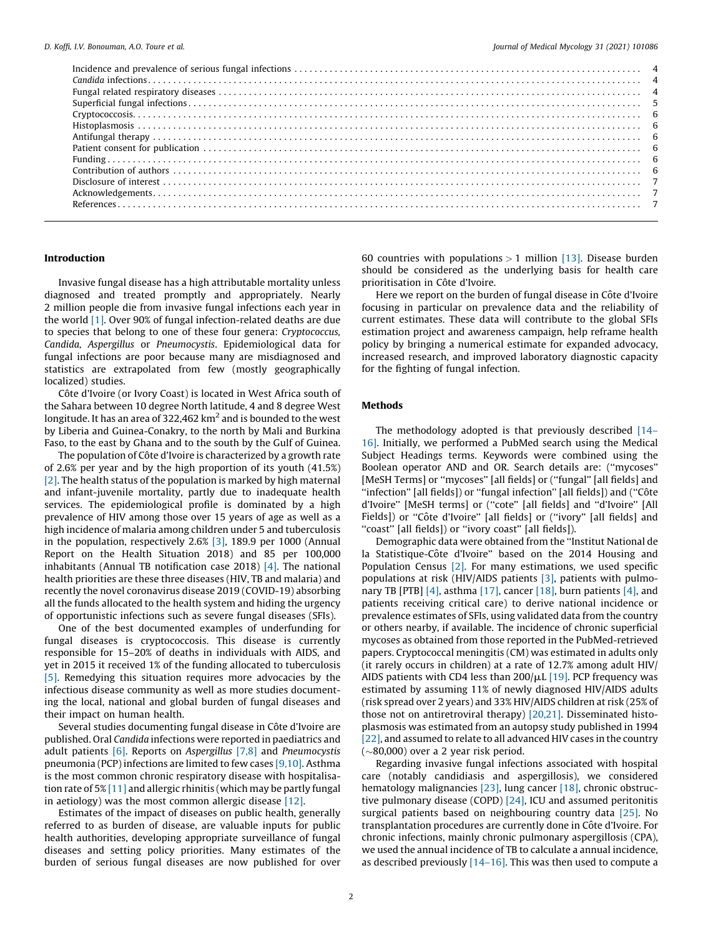| $\textbf{Histoplasmosis}\textcolor{red}{\cdots}\textcolor{red}{\cdots}\textcolor{red}{\cdots}\textcolor{red}{\cdots}\textcolor{red}{\cdots}\textcolor{red}{\cdots}\textcolor{red}{\cdots}\textcolor{red}{\cdots}\textcolor{red}{\cdots}\textcolor{red}{\cdots}\textcolor{red}{\cdots}\textcolor{red}{\cdots}\textcolor{red}{\cdots}\textcolor{red}{\cdots}\textcolor{red}{\cdots}\textcolor{red}{\cdots}\textcolor{red}{\cdots}\textcolor{red}{\cdots}\textcolor{red}{\cdots}\textcolor{red}{\cdots}\textcolor{red}{\cdots}\textcolor{red}{\cdots}\textcolor{red}{\cdots}\textcolor{$ |  |
|---------------------------------------------------------------------------------------------------------------------------------------------------------------------------------------------------------------------------------------------------------------------------------------------------------------------------------------------------------------------------------------------------------------------------------------------------------------------------------------------------------------------------------------------------------------------------------------|--|
|                                                                                                                                                                                                                                                                                                                                                                                                                                                                                                                                                                                       |  |
|                                                                                                                                                                                                                                                                                                                                                                                                                                                                                                                                                                                       |  |
|                                                                                                                                                                                                                                                                                                                                                                                                                                                                                                                                                                                       |  |
|                                                                                                                                                                                                                                                                                                                                                                                                                                                                                                                                                                                       |  |
|                                                                                                                                                                                                                                                                                                                                                                                                                                                                                                                                                                                       |  |
|                                                                                                                                                                                                                                                                                                                                                                                                                                                                                                                                                                                       |  |
|                                                                                                                                                                                                                                                                                                                                                                                                                                                                                                                                                                                       |  |
|                                                                                                                                                                                                                                                                                                                                                                                                                                                                                                                                                                                       |  |

# Introduction

Invasive fungal disease has a high attributable mortality unless diagnosed and treated promptly and appropriately. Nearly 2 million people die from invasive fungal infections each year in the world [\[1\]](#page-6-0). Over 90% of fungal infection-related deaths are due to species that belong to one of these four genera: Cryptococcus, Candida, Aspergillus or Pneumocystis. Epidemiological data for fungal infections are poor because many are misdiagnosed and statistics are extrapolated from few (mostly geographically localized) studies.

Côte d'Ivoire (or Ivory Coast) is located in West Africa south of the Sahara between 10 degree North latitude, 4 and 8 degree West longitude. It has an area of 322,462 km<sup>2</sup> and is bounded to the west by Liberia and Guinea-Conakry, to the north by Mali and Burkina Faso, to the east by Ghana and to the south by the Gulf of Guinea.

The population of Côte d'Ivoire is characterized by a growth rate of 2.6% per year and by the high proportion of its youth (41.5%) [\[2\]](#page-6-0). The health status of the population is marked by high maternal and infant-juvenile mortality, partly due to inadequate health services. The epidemiological profile is dominated by a high prevalence of HIV among those over 15 years of age as well as a high incidence of malaria among children under 5 and tuberculosis in the population, respectively 2.6% [\[3\],](#page-6-0) 189.9 per 1000 (Annual Report on the Health Situation 2018) and 85 per 100,000 inhabitants (Annual TB notification case 2018) [\[4\].](#page-6-0) The national health priorities are these three diseases (HIV, TB and malaria) and recently the novel coronavirus disease 2019 (COVID-19) absorbing all the funds allocated to the health system and hiding the urgency of opportunistic infections such as severe fungal diseases (SFIs).

One of the best documented examples of underfunding for fungal diseases is cryptococcosis. This disease is currently responsible for 15–20% of deaths in individuals with AIDS, and yet in 2015 it received 1% of the funding allocated to tuberculosis [\[5\]](#page-6-0). Remedying this situation requires more advocacies by the infectious disease community as well as more studies documenting the local, national and global burden of fungal diseases and their impact on human health.

Several studies documenting fungal disease in Côte d'Ivoire are published. Oral Candida infections were reported in paediatrics and adult patients  $[6]$ . Reports on Aspergillus  $[7,8]$  and Pneumocystis pneumonia (PCP) infections are limited to few cases [\[9,10\].](#page-6-0) Asthma is the most common chronic respiratory disease with hospitalisation rate of 5% [\[11\]](#page-6-0) and allergic rhinitis (which may be partly fungal in aetiology) was the most common allergic disease [\[12\].](#page-6-0)

Estimates of the impact of diseases on public health, generally referred to as burden of disease, are valuable inputs for public health authorities, developing appropriate surveillance of fungal diseases and setting policy priorities. Many estimates of the burden of serious fungal diseases are now published for over

60 countries with populations  $> 1$  million [\[13\].](#page-6-0) Disease burden should be considered as the underlying basis for health care prioritisation in Côte d'Ivoire.

Here we report on the burden of fungal disease in Côte d'Ivoire focusing in particular on prevalence data and the reliability of current estimates. These data will contribute to the global SFIs estimation project and awareness campaign, help reframe health policy by bringing a numerical estimate for expanded advocacy, increased research, and improved laboratory diagnostic capacity for the fighting of fungal infection.

### Methods

The methodology adopted is that previously described [\[14–](#page-6-0) [16\]](#page-6-0). Initially, we performed a PubMed search using the Medical Subject Headings terms. Keywords were combined using the Boolean operator AND and OR. Search details are: (''mycoses'' [MeSH Terms] or "mycoses" [all fields] or ("fungal" [all fields] and ''infection'' [all fields]) or ''fungal infection'' [all fields]) and (''Coˆte d'Ivoire'' [MeSH terms] or (''cote'' [all fields] and ''d'Ivoire'' [All Fields]) or "Côte d'Ivoire" [all fields] or ("ivory" [all fields] and "coast" [all fields]) or "ivory coast" [all fields]).

Demographic data were obtained from the ''Institut National de la Statistique-Côte d'Ivoire" based on the 2014 Housing and Population Census [\[2\].](#page-6-0) For many estimations, we used specific populations at risk (HIV/AIDS patients [\[3\],](#page-6-0) patients with pulmo-nary TB [PTB] [\[4\]](#page-6-0), asthma [\[17\],](#page-6-0) cancer [\[18\],](#page-6-0) burn patients [4], and patients receiving critical care) to derive national incidence or prevalence estimates of SFIs, using validated data from the country or others nearby, if available. The incidence of chronic superficial mycoses as obtained from those reported in the PubMed-retrieved papers. Cryptococcal meningitis (CM) was estimated in adults only (it rarely occurs in children) at a rate of 12.7% among adult HIV/ AIDS patients with CD4 less than  $200/\mu L$  [\[19\]](#page-6-0). PCP frequency was estimated by assuming 11% of newly diagnosed HIV/AIDS adults (risk spread over 2 years) and 33% HIV/AIDS children at risk (25% of those not on antiretroviral therapy) [\[20,21\]](#page-6-0). Disseminated histoplasmosis was estimated from an autopsy study published in 1994 [\[22\]](#page-6-0), and assumed to relate to all advanced HIV cases in the country  $(\sim 80,000)$  over a 2 year risk period.

Regarding invasive fungal infections associated with hospital care (notably candidiasis and aspergillosis), we considered hematology malignancies [\[23\],](#page-6-0) lung cancer [\[18\]](#page-6-0), chronic obstructive pulmonary disease (COPD) [\[24\]](#page-6-0), ICU and assumed peritonitis surgical patients based on neighbouring country data [\[25\].](#page-6-0) No transplantation procedures are currently done in Côte d'Ivoire. For chronic infections, mainly chronic pulmonary aspergillosis (CPA), we used the annual incidence of TB to calculate a annual incidence, as described previously [\[14–16\]](#page-6-0). This was then used to compute a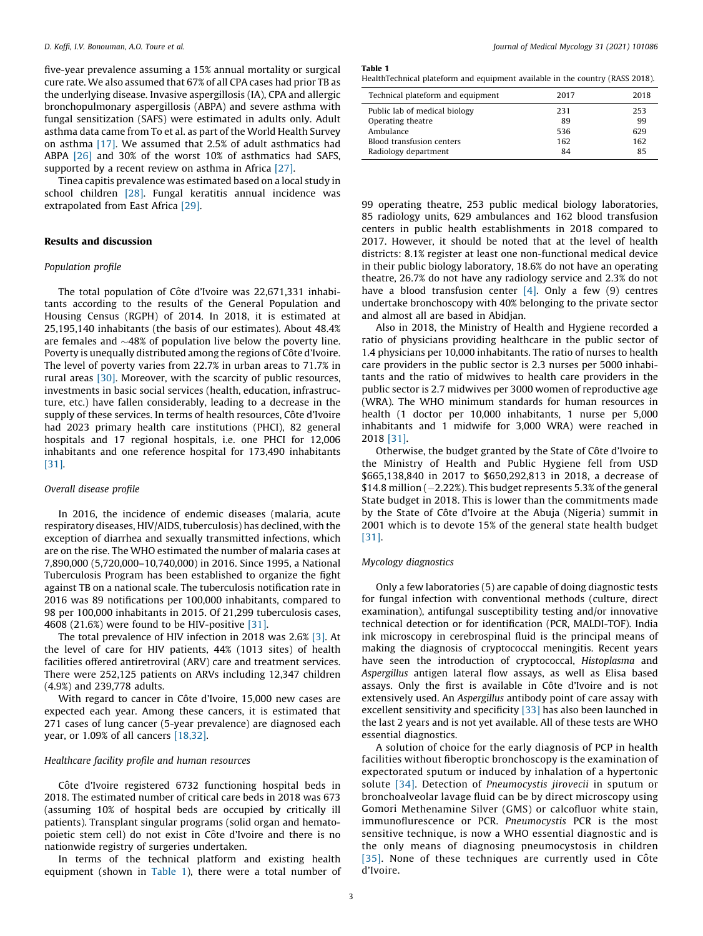five-year prevalence assuming a 15% annual mortality or surgical cure rate. We also assumed that 67% of all CPA cases had prior TB as the underlying disease. Invasive aspergillosis (IA), CPA and allergic bronchopulmonary aspergillosis (ABPA) and severe asthma with fungal sensitization (SAFS) were estimated in adults only. Adult asthma data came from To et al. as part of the World Health Survey on asthma [\[17\].](#page-6-0) We assumed that 2.5% of adult asthmatics had ABPA [\[26\]](#page-6-0) and 30% of the worst 10% of asthmatics had SAFS, supported by a recent review on asthma in Africa [\[27\]](#page-6-0).

Tinea capitis prevalence was estimated based on a local study in school children [\[28\].](#page-6-0) Fungal keratitis annual incidence was extrapolated from East Africa [\[29\]](#page-6-0).

# Results and discussion

## Population profile

The total population of Côte d'Ivoire was 22,671,331 inhabitants according to the results of the General Population and Housing Census (RGPH) of 2014. In 2018, it is estimated at 25,195,140 inhabitants (the basis of our estimates). About 48.4% are females and  $\sim$ 48% of population live below the poverty line. Poverty is unequally distributed among the regions of Côte d'Ivoire. The level of poverty varies from 22.7% in urban areas to 71.7% in rural areas [\[30\].](#page-6-0) Moreover, with the scarcity of public resources, investments in basic social services (health, education, infrastructure, etc.) have fallen considerably, leading to a decrease in the supply of these services. In terms of health resources, Côte d'Ivoire had 2023 primary health care institutions (PHCI), 82 general hospitals and 17 regional hospitals, i.e. one PHCI for 12,006 inhabitants and one reference hospital for 173,490 inhabitants [\[31\]](#page-6-0).

## Overall disease profile

In 2016, the incidence of endemic diseases (malaria, acute respiratory diseases, HIV/AIDS, tuberculosis) has declined, with the exception of diarrhea and sexually transmitted infections, which are on the rise. The WHO estimated the number of malaria cases at 7,890,000 (5,720,000–10,740,000) in 2016. Since 1995, a National Tuberculosis Program has been established to organize the fight against TB on a national scale. The tuberculosis notification rate in 2016 was 89 notifications per 100,000 inhabitants, compared to 98 per 100,000 inhabitants in 2015. Of 21,299 tuberculosis cases, 4608 (21.6%) were found to be HIV-positive [\[31\].](#page-6-0)

The total prevalence of HIV infection in 2018 was 2.6% [\[3\]](#page-6-0). At the level of care for HIV patients, 44% (1013 sites) of health facilities offered antiretroviral (ARV) care and treatment services. There were 252,125 patients on ARVs including 12,347 children (4.9%) and 239,778 adults.

With regard to cancer in Côte d'Ivoire, 15,000 new cases are expected each year. Among these cancers, it is estimated that 271 cases of lung cancer (5-year prevalence) are diagnosed each year, or 1.09% of all cancers [\[18,32\].](#page-6-0)

#### Healthcare facility profile and human resources

Côte d'Ivoire registered 6732 functioning hospital beds in 2018. The estimated number of critical care beds in 2018 was 673 (assuming 10% of hospital beds are occupied by critically ill patients). Transplant singular programs (solid organ and hematopoietic stem cell) do not exist in Côte d'Ivoire and there is no nationwide registry of surgeries undertaken.

In terms of the technical platform and existing health equipment (shown in Table 1), there were a total number of Table 1

HealthTechnical plateform and equipment available in the country (RASS 2018).

| Technical plateform and equipment | 2017 | 2018 |
|-----------------------------------|------|------|
| Public lab of medical biology     | 231  | 253  |
| Operating theatre                 | 89   | 99   |
| Ambulance                         | 536  | 629  |
| Blood transfusion centers         | 162  | 162  |
| Radiology department              | 84   | 85   |
|                                   |      |      |

99 operating theatre, 253 public medical biology laboratories, 85 radiology units, 629 ambulances and 162 blood transfusion centers in public health establishments in 2018 compared to 2017. However, it should be noted that at the level of health districts: 8.1% register at least one non-functional medical device in their public biology laboratory, 18.6% do not have an operating theatre, 26.7% do not have any radiology service and 2.3% do not have a blood transfusion center  $[4]$ . Only a few  $(9)$  centres undertake bronchoscopy with 40% belonging to the private sector and almost all are based in Abidjan.

Also in 2018, the Ministry of Health and Hygiene recorded a ratio of physicians providing healthcare in the public sector of 1.4 physicians per 10,000 inhabitants. The ratio of nurses to health care providers in the public sector is 2.3 nurses per 5000 inhabitants and the ratio of midwives to health care providers in the public sector is 2.7 midwives per 3000 women of reproductive age (WRA). The WHO minimum standards for human resources in health (1 doctor per 10,000 inhabitants, 1 nurse per 5,000 inhabitants and 1 midwife for 3,000 WRA) were reached in 2018 [\[31\]](#page-6-0).

Otherwise, the budget granted by the State of Côte d'Ivoire to the Ministry of Health and Public Hygiene fell from USD \$665,138,840 in 2017 to \$650,292,813 in 2018, a decrease of \$14.8 million  $(-2.22%)$ . This budget represents 5.3% of the general State budget in 2018. This is lower than the commitments made by the State of Côte d'Ivoire at the Abuja (Nigeria) summit in 2001 which is to devote 15% of the general state health budget [\[31\].](#page-6-0)

## Mycology diagnostics

Only a few laboratories (5) are capable of doing diagnostic tests for fungal infection with conventional methods (culture, direct examination), antifungal susceptibility testing and/or innovative technical detection or for identification (PCR, MALDI-TOF). India ink microscopy in cerebrospinal fluid is the principal means of making the diagnosis of cryptococcal meningitis. Recent years have seen the introduction of cryptococcal, Histoplasma and Aspergillus antigen lateral flow assays, as well as Elisa based assays. Only the first is available in Côte d'Ivoire and is not extensively used. An Aspergillus antibody point of care assay with excellent sensitivity and specificity [\[33\]](#page-6-0) has also been launched in the last 2 years and is not yet available. All of these tests are WHO essential diagnostics.

A solution of choice for the early diagnosis of PCP in health facilities without fiberoptic bronchoscopy is the examination of expectorated sputum or induced by inhalation of a hypertonic solute [\[34\].](#page-6-0) Detection of Pneumocystis jirovecii in sputum or bronchoalveolar lavage fluid can be by direct microscopy using Gomori Methenamine Silver (GMS) or calcofluor white stain, immunoflurescence or PCR. Pneumocystis PCR is the most sensitive technique, is now a WHO essential diagnostic and is the only means of diagnosing pneumocystosis in children [\[35\]](#page-6-0). None of these techniques are currently used in Côte d'Ivoire.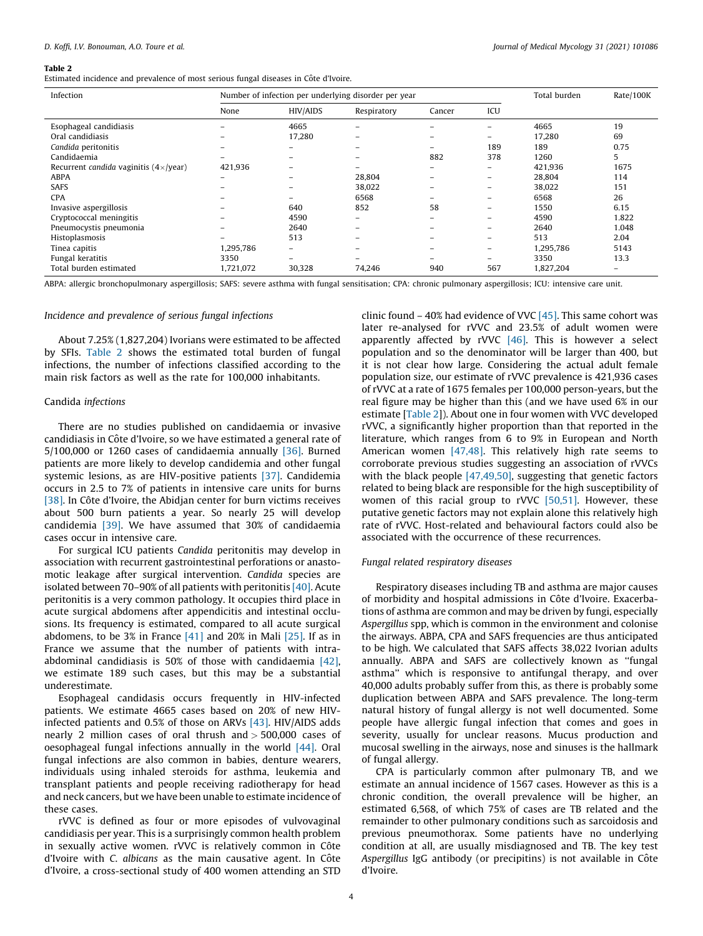#### Table 2

Estimated incidence and prevalence of most serious fungal diseases in Côte d'Ivoire.

| Infection                                             |           | Number of infection per underlying disorder per year | Total burden | Rate/100K                |                          |           |                   |
|-------------------------------------------------------|-----------|------------------------------------------------------|--------------|--------------------------|--------------------------|-----------|-------------------|
|                                                       | None      | <b>HIV/AIDS</b>                                      | Respiratory  | Cancer                   | ICU                      |           |                   |
| Esophageal candidiasis                                |           | 4665                                                 |              |                          | $\overline{\phantom{m}}$ | 4665      | 19                |
| Oral candidiasis                                      |           | 17,280                                               |              |                          | -                        | 17,280    | 69                |
| Candida peritonitis                                   |           |                                                      |              |                          | 189                      | 189       | 0.75              |
| Candidaemia                                           |           |                                                      |              | 882                      | 378                      | 1260      | 5                 |
| Recurrent <i>candida</i> vaginitis $(4 \times$ /year) | 421,936   |                                                      |              |                          |                          | 421,936   | 1675              |
| <b>ABPA</b>                                           |           |                                                      | 28,804       | $\overline{\phantom{0}}$ | $\overline{\phantom{0}}$ | 28,804    | 114               |
| <b>SAFS</b>                                           |           |                                                      | 38,022       | $\overline{\phantom{0}}$ | $\overline{\phantom{0}}$ | 38,022    | 151               |
| <b>CPA</b>                                            |           |                                                      | 6568         |                          | $\overline{\phantom{0}}$ | 6568      | 26                |
| Invasive aspergillosis                                |           | 640                                                  | 852          | 58                       | $\overline{\phantom{0}}$ | 1550      | 6.15              |
| Cryptococcal meningitis                               |           | 4590                                                 | -            |                          | $-$                      | 4590      | 1.822             |
| Pneumocystis pneumonia                                |           | 2640                                                 |              |                          | -                        | 2640      | 1.048             |
| Histoplasmosis                                        |           | 513                                                  |              |                          | $-$                      | 513       | 2.04              |
| Tinea capitis                                         | 1,295,786 | -                                                    |              |                          | $\equiv$                 | 1,295,786 | 5143              |
| Fungal keratitis                                      | 3350      | -                                                    |              |                          | $-$                      | 3350      | 13.3              |
| Total burden estimated                                | 1,721,072 | 30,328                                               | 74,246       | 940                      | 567                      | 1,827,204 | $\qquad \qquad =$ |

ABPA: allergic bronchopulmonary aspergillosis; SAFS: severe asthma with fungal sensitisation; CPA: chronic pulmonary aspergillosis; ICU: intensive care unit.

## Incidence and prevalence of serious fungal infections

About 7.25% (1,827,204) Ivorians were estimated to be affected by SFIs. Table 2 shows the estimated total burden of fungal infections, the number of infections classified according to the main risk factors as well as the rate for 100,000 inhabitants.

## Candida infections

There are no studies published on candidaemia or invasive candidiasis in Côte d'Ivoire, so we have estimated a general rate of 5/100,000 or 1260 cases of candidaemia annually [\[36\]](#page-6-0). Burned patients are more likely to develop candidemia and other fungal systemic lesions, as are HIV-positive patients [\[37\]](#page-6-0). Candidemia occurs in 2.5 to 7% of patients in intensive care units for burns [\[38\]](#page-6-0). In Côte d'Ivoire, the Abidjan center for burn victims receives about 500 burn patients a year. So nearly 25 will develop candidemia [\[39\]](#page-6-0). We have assumed that 30% of candidaemia cases occur in intensive care.

For surgical ICU patients Candida peritonitis may develop in association with recurrent gastrointestinal perforations or anastomotic leakage after surgical intervention. Candida species are isolated between 70–90% of all patients with peritonitis [\[40\]](#page-6-0). Acute peritonitis is a very common pathology. It occupies third place in acute surgical abdomens after appendicitis and intestinal occlusions. Its frequency is estimated, compared to all acute surgical abdomens, to be 3% in France  $[41]$  and 20% in Mali  $[25]$ . If as in France we assume that the number of patients with intraabdominal candidiasis is 50% of those with candidaemia [\[42\],](#page-6-0) we estimate 189 such cases, but this may be a substantial underestimate.

Esophageal candidasis occurs frequently in HIV-infected patients. We estimate 4665 cases based on 20% of new HIVinfected patients and 0.5% of those on ARVs [\[43\]](#page-6-0). HIV/AIDS adds nearly 2 million cases of oral thrush and > 500,000 cases of oesophageal fungal infections annually in the world  $[44]$ . Oral fungal infections are also common in babies, denture wearers, individuals using inhaled steroids for asthma, leukemia and transplant patients and people receiving radiotherapy for head and neck cancers, but we have been unable to estimate incidence of these cases.

rVVC is defined as four or more episodes of vulvovaginal candidiasis per year. This is a surprisingly common health problem in sexually active women. rVVC is relatively common in Côte d'Ivoire with C. albicans as the main causative agent. In Côte d'Ivoire, a cross-sectional study of 400 women attending an STD clinic found – 40% had evidence of VVC [\[45\]](#page-6-0). This same cohort was later re-analysed for rVVC and 23.5% of adult women were apparently affected by rVVC [\[46\].](#page-6-0) This is however a select population and so the denominator will be larger than 400, but it is not clear how large. Considering the actual adult female population size, our estimate of rVVC prevalence is 421,936 cases of rVVC at a rate of 1675 females per 100,000 person-years, but the real figure may be higher than this (and we have used 6% in our estimate [Table 2]). About one in four women with VVC developed rVVC, a significantly higher proportion than that reported in the literature, which ranges from 6 to 9% in European and North American women [\[47,48\]](#page-6-0). This relatively high rate seems to corroborate previous studies suggesting an association of rVVCs with the black people [\[47,49,50\],](#page-6-0) suggesting that genetic factors related to being black are responsible for the high susceptibility of women of this racial group to rVVC [\[50,51\]](#page-6-0). However, these putative genetic factors may not explain alone this relatively high rate of rVVC. Host-related and behavioural factors could also be associated with the occurrence of these recurrences.

# Fungal related respiratory diseases

Respiratory diseases including TB and asthma are major causes of morbidity and hospital admissions in Côte d'Ivoire. Exacerbations of asthma are common and may be driven by fungi, especially Aspergillus spp, which is common in the environment and colonise the airways. ABPA, CPA and SAFS frequencies are thus anticipated to be high. We calculated that SAFS affects 38,022 Ivorian adults annually. ABPA and SAFS are collectively known as ''fungal asthma'' which is responsive to antifungal therapy, and over 40,000 adults probably suffer from this, as there is probably some duplication between ABPA and SAFS prevalence. The long-term natural history of fungal allergy is not well documented. Some people have allergic fungal infection that comes and goes in severity, usually for unclear reasons. Mucus production and mucosal swelling in the airways, nose and sinuses is the hallmark of fungal allergy.

CPA is particularly common after pulmonary TB, and we estimate an annual incidence of 1567 cases. However as this is a chronic condition, the overall prevalence will be higher, an estimated 6,568, of which 75% of cases are TB related and the remainder to other pulmonary conditions such as sarcoidosis and previous pneumothorax. Some patients have no underlying condition at all, are usually misdiagnosed and TB. The key test Aspergillus IgG antibody (or precipitins) is not available in Côte d'Ivoire.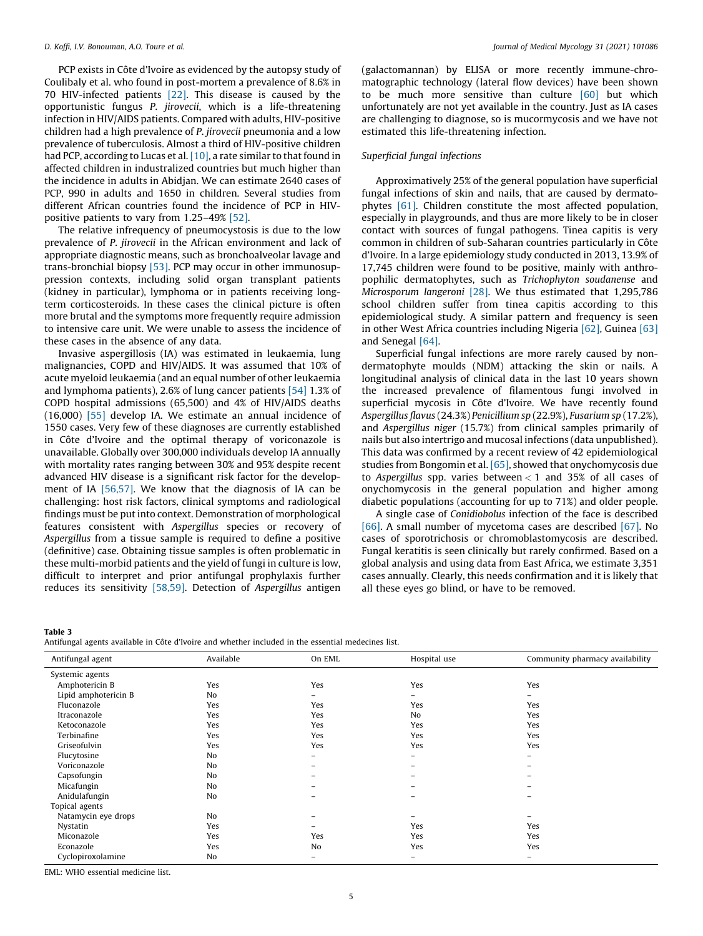<span id="page-4-0"></span>PCP exists in Côte d'Ivoire as evidenced by the autopsy study of Coulibaly et al. who found in post-mortem a prevalence of 8.6% in 70 HIV-infected patients [\[22\].](#page-6-0) This disease is caused by the opportunistic fungus P. jirovecii, which is a life-threatening infection in HIV/AIDS patients. Compared with adults, HIV-positive children had a high prevalence of P. jirovecii pneumonia and a low prevalence of tuberculosis. Almost a third of HIV-positive children had PCP, according to Lucas et al.  $[10]$ , a rate similar to that found in affected children in industralized countries but much higher than the incidence in adults in Abidjan. We can estimate 2640 cases of PCP, 990 in adults and 1650 in children. Several studies from different African countries found the incidence of PCP in HIVpositive patients to vary from 1.25–49% [\[52\]](#page-6-0).

The relative infrequency of pneumocystosis is due to the low prevalence of P. jirovecii in the African environment and lack of appropriate diagnostic means, such as bronchoalveolar lavage and trans-bronchial biopsy [\[53\]](#page-6-0). PCP may occur in other immunosuppression contexts, including solid organ transplant patients (kidney in particular), lymphoma or in patients receiving longterm corticosteroids. In these cases the clinical picture is often more brutal and the symptoms more frequently require admission to intensive care unit. We were unable to assess the incidence of these cases in the absence of any data.

Invasive aspergillosis (IA) was estimated in leukaemia, lung malignancies, COPD and HIV/AIDS. It was assumed that 10% of acute myeloid leukaemia (and an equal number of other leukaemia and lymphoma patients), 2.6% of lung cancer patients [\[54\]](#page-7-0) 1.3% of COPD hospital admissions (65,500) and 4% of HIV/AIDS deaths (16,000) [\[55\]](#page-7-0) develop IA. We estimate an annual incidence of 1550 cases. Very few of these diagnoses are currently established in Côte d'Ivoire and the optimal therapy of voriconazole is unavailable. Globally over 300,000 individuals develop IA annually with mortality rates ranging between 30% and 95% despite recent advanced HIV disease is a significant risk factor for the development of IA [\[56,57\].](#page-7-0) We know that the diagnosis of IA can be challenging: host risk factors, clinical symptoms and radiological findings must be put into context. Demonstration of morphological features consistent with Aspergillus species or recovery of Aspergillus from a tissue sample is required to define a positive (definitive) case. Obtaining tissue samples is often problematic in these multi-morbid patients and the yield of fungi in culture is low, difficult to interpret and prior antifungal prophylaxis further reduces its sensitivity [\[58,59\].](#page-7-0) Detection of Aspergillus antigen (galactomannan) by ELISA or more recently immune-chromatographic technology (lateral flow devices) have been shown to be much more sensitive than culture [\[60\]](#page-7-0) but which unfortunately are not yet available in the country. Just as IA cases are challenging to diagnose, so is mucormycosis and we have not estimated this life-threatening infection.

# Superficial fungal infections

Approximatively 25% of the general population have superficial fungal infections of skin and nails, that are caused by dermatophytes [\[61\]](#page-7-0). Children constitute the most affected population, especially in playgrounds, and thus are more likely to be in closer contact with sources of fungal pathogens. Tinea capitis is very common in children of sub-Saharan countries particularly in Côte d'Ivoire. In a large epidemiology study conducted in 2013, 13.9% of 17,745 children were found to be positive, mainly with anthropophilic dermatophytes, such as Trichophyton soudanense and Microsporum langeroni [\[28\].](#page-6-0) We thus estimated that 1,295,786 school children suffer from tinea capitis according to this epidemiological study. A similar pattern and frequency is seen in other West Africa countries including Nigeria [\[62\]](#page-7-0), Guinea [\[63\]](#page-7-0) and Senegal [\[64\]](#page-7-0).

Superficial fungal infections are more rarely caused by nondermatophyte moulds (NDM) attacking the skin or nails. A longitudinal analysis of clinical data in the last 10 years shown the increased prevalence of filamentous fungi involved in superficial mycosis in Côte d'Ivoire. We have recently found Aspergillus flavus (24.3%) Penicillium sp (22.9%), Fusarium sp (17.2%), and Aspergillus niger (15.7%) from clinical samples primarily of nails but also intertrigo and mucosal infections (data unpublished). This data was confirmed by a recent review of 42 epidemiological studies from Bongomin et al. [\[65\]](#page-7-0), showed that onychomycosis due to Aspergillus spp. varies between  $<$  1 and 35% of all cases of onychomycosis in the general population and higher among diabetic populations (accounting for up to 71%) and older people.

A single case of Conidiobolus infection of the face is described [\[66\]](#page-7-0). A small number of mycetoma cases are described [\[67\].](#page-7-0) No cases of sporotrichosis or chromoblastomycosis are described. Fungal keratitis is seen clinically but rarely confirmed. Based on a global analysis and using data from East Africa, we estimate 3,351 cases annually. Clearly, this needs confirmation and it is likely that all these eyes go blind, or have to be removed.

Table 3

|  |  |  |  |  | Antifungal agents available in Côte d'Ivoire and whether included in the essential medecines list. |  |
|--|--|--|--|--|----------------------------------------------------------------------------------------------------|--|
|  |  |  |  |  |                                                                                                    |  |

| ັ<br>ີ               |           |          |              |                                 |
|----------------------|-----------|----------|--------------|---------------------------------|
| Antifungal agent     | Available | On EML   | Hospital use | Community pharmacy availability |
| Systemic agents      |           |          |              |                                 |
| Amphotericin B       | Yes       | Yes      | Yes          | Yes                             |
| Lipid amphotericin B | No        | $\equiv$ | -            | $\overline{\phantom{0}}$        |
| Fluconazole          | Yes       | Yes      | Yes          | Yes                             |
| Itraconazole         | Yes       | Yes      | No           | Yes                             |
| Ketoconazole         | Yes       | Yes      | Yes          | Yes                             |
| Terbinafine          | Yes       | Yes      | Yes          | Yes                             |
| Griseofulvin         | Yes       | Yes      | Yes          | Yes                             |
| Flucytosine          | No        | -        | -            | $\overline{\phantom{0}}$        |
| Voriconazole         | No        |          |              |                                 |
| Capsofungin          | No        |          |              |                                 |
| Micafungin           | No        |          |              |                                 |
| Anidulafungin        | No        | ۰        | -            | -                               |
| Topical agents       |           |          |              |                                 |
| Natamycin eye drops  | No        |          |              |                                 |
| Nystatin             | Yes       |          | Yes          | Yes                             |
| Miconazole           | Yes       | Yes      | Yes          | Yes                             |
| Econazole            | Yes       | No       | Yes          | Yes                             |
| Cyclopiroxolamine    | No        | -        | -            | -                               |

 $EMI: WHO$  essential medicine list.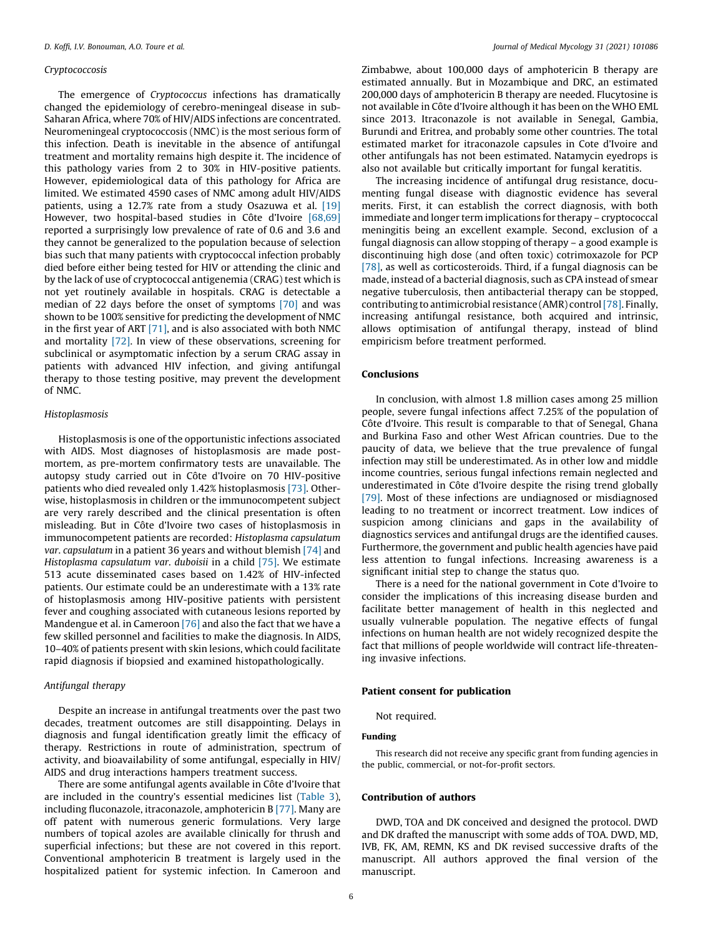#### Cryptococcosis

The emergence of Cryptococcus infections has dramatically changed the epidemiology of cerebro-meningeal disease in sub-Saharan Africa, where 70% of HIV/AIDS infections are concentrated. Neuromeningeal cryptococcosis (NMC) is the most serious form of this infection. Death is inevitable in the absence of antifungal treatment and mortality remains high despite it. The incidence of this pathology varies from 2 to 30% in HIV-positive patients. However, epidemiological data of this pathology for Africa are limited. We estimated 4590 cases of NMC among adult HIV/AIDS patients, using a 12.7% rate from a study Osazuwa et al. [\[19\]](#page-6-0) However, two hospital-based studies in Côte d'Ivoire [\[68,69\]](#page-7-0) reported a surprisingly low prevalence of rate of 0.6 and 3.6 and they cannot be generalized to the population because of selection bias such that many patients with cryptococcal infection probably died before either being tested for HIV or attending the clinic and by the lack of use of cryptococcal antigenemia (CRAG) test which is not yet routinely available in hospitals. CRAG is detectable a median of 22 days before the onset of symptoms [\[70\]](#page-7-0) and was shown to be 100% sensitive for predicting the development of NMC in the first year of ART [\[71\]](#page-7-0), and is also associated with both NMC and mortality [\[72\]](#page-7-0). In view of these observations, screening for subclinical or asymptomatic infection by a serum CRAG assay in patients with advanced HIV infection, and giving antifungal therapy to those testing positive, may prevent the development of NMC.

#### Histoplasmosis

Histoplasmosis is one of the opportunistic infections associated with AIDS. Most diagnoses of histoplasmosis are made postmortem, as pre-mortem confirmatory tests are unavailable. The autopsy study carried out in Côte d'Ivoire on 70 HIV-positive patients who died revealed only 1.42% histoplasmosis [\[73\].](#page-7-0) Otherwise, histoplasmosis in children or the immunocompetent subject are very rarely described and the clinical presentation is often misleading. But in Côte d'Ivoire two cases of histoplasmosis in immunocompetent patients are recorded: Histoplasma capsulatum var. capsulatum in a patient 36 years and without blemish [\[74\]](#page-7-0) and Histoplasma capsulatum var. duboisii in a child [\[75\].](#page-7-0) We estimate 513 acute disseminated cases based on 1.42% of HIV-infected patients. Our estimate could be an underestimate with a 13% rate of histoplasmosis among HIV-positive patients with persistent fever and coughing associated with cutaneous lesions reported by Mandengue et al. in Cameroon [\[76\]](#page-7-0) and also the fact that we have a few skilled personnel and facilities to make the diagnosis. In AIDS, 10–40% of patients present with skin lesions, which could facilitate rapid diagnosis if biopsied and examined histopathologically.

# Antifungal therapy

Despite an increase in antifungal treatments over the past two decades, treatment outcomes are still disappointing. Delays in diagnosis and fungal identification greatly limit the efficacy of therapy. Restrictions in route of administration, spectrum of activity, and bioavailability of some antifungal, especially in HIV/ AIDS and drug interactions hampers treatment success.

There are some antifungal agents available in Côte d'Ivoire that are included in the country's essential medicines list ([Table](#page-4-0) 3), including fluconazole, itraconazole, amphotericin B [\[77\]](#page-7-0). Many are off patent with numerous generic formulations. Very large numbers of topical azoles are available clinically for thrush and superficial infections; but these are not covered in this report. Conventional amphotericin B treatment is largely used in the hospitalized patient for systemic infection. In Cameroon and

Zimbabwe, about 100,000 days of amphotericin B therapy are estimated annually. But in Mozambique and DRC, an estimated 200,000 days of amphotericin B therapy are needed. Flucytosine is not available in Côte d'Ivoire although it has been on the WHO EML since 2013. Itraconazole is not available in Senegal, Gambia, Burundi and Eritrea, and probably some other countries. The total estimated market for itraconazole capsules in Cote d'Ivoire and other antifungals has not been estimated. Natamycin eyedrops is also not available but critically important for fungal keratitis.

The increasing incidence of antifungal drug resistance, documenting fungal disease with diagnostic evidence has several merits. First, it can establish the correct diagnosis, with both immediate and longer term implications for therapy – cryptococcal meningitis being an excellent example. Second, exclusion of a fungal diagnosis can allow stopping of therapy – a good example is discontinuing high dose (and often toxic) cotrimoxazole for PCP [\[78\]](#page-7-0), as well as corticosteroids. Third, if a fungal diagnosis can be made, instead of a bacterial diagnosis, such as CPA instead of smear negative tuberculosis, then antibacterial therapy can be stopped, contributing to antimicrobial resistance (AMR) control[\[78\].](#page-7-0) Finally, increasing antifungal resistance, both acquired and intrinsic, allows optimisation of antifungal therapy, instead of blind empiricism before treatment performed.

# Conclusions

In conclusion, with almost 1.8 million cases among 25 million people, severe fungal infections affect 7.25% of the population of Côte d'Ivoire. This result is comparable to that of Senegal, Ghana and Burkina Faso and other West African countries. Due to the paucity of data, we believe that the true prevalence of fungal infection may still be underestimated. As in other low and middle income countries, serious fungal infections remain neglected and underestimated in Côte d'Ivoire despite the rising trend globally [\[79\]](#page-7-0). Most of these infections are undiagnosed or misdiagnosed leading to no treatment or incorrect treatment. Low indices of suspicion among clinicians and gaps in the availability of diagnostics services and antifungal drugs are the identified causes. Furthermore, the government and public health agencies have paid less attention to fungal infections. Increasing awareness is a significant initial step to change the status quo.

There is a need for the national government in Cote d'Ivoire to consider the implications of this increasing disease burden and facilitate better management of health in this neglected and usually vulnerable population. The negative effects of fungal infections on human health are not widely recognized despite the fact that millions of people worldwide will contract life-threatening invasive infections.

## Patient consent for publication

Not required.

# Funding

This research did not receive any specific grant from funding agencies in the public, commercial, or not-for-profit sectors.

#### Contribution of authors

DWD, TOA and DK conceived and designed the protocol. DWD and DK drafted the manuscript with some adds of TOA. DWD, MD, IVB, FK, AM, REMN, KS and DK revised successive drafts of the manuscript. All authors approved the final version of the manuscript.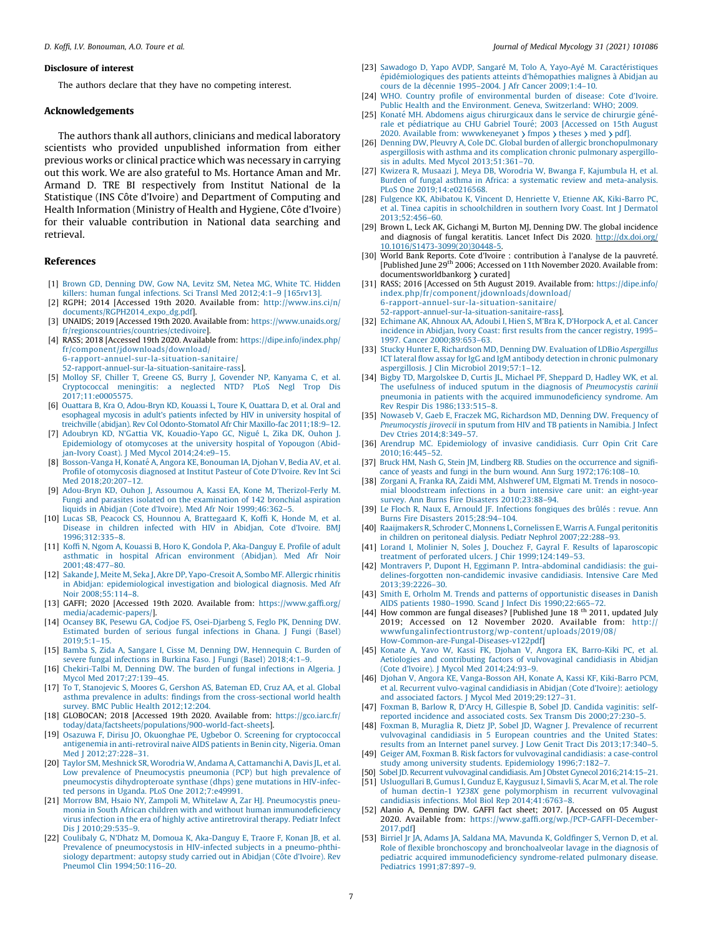#### <span id="page-6-0"></span>Disclosure of interest

The authors declare that they have no competing interest.

#### Acknowledgements

The authors thank all authors, clinicians and medical laboratory scientists who provided unpublished information from either previous works or clinical practice which was necessary in carrying out this work. We are also grateful to Ms. Hortance Aman and Mr. Armand D. TRE BI respectively from Institut National de la Statistique (INS Côte d'Ivoire) and Department of Computing and Health Information (Ministry of Health and Hygiene, Côte d'Ivoire) for their valuable contribution in National data searching and retrieval.

#### References

- [1] Brown GD, [Denning](http://refhub.elsevier.com/S1156-5233(20)30227-4/sbref0400) DW, Gow NA, Levitz SM, Netea MG, White TC. Hidden killers: human fungal infections. Sci Transl Med [2012;4:1–9](http://refhub.elsevier.com/S1156-5233(20)30227-4/sbref0400) [165rv13].
- [2] RGPH; 2014 [Accessed 19th 2020. Available from: [http://www.ins.ci/n/](http://www.ins.ci/n/documents/RGPH2014_expo_dg.pdf) [documents/RGPH2014\\_expo\\_dg.pdf\]](http://www.ins.ci/n/documents/RGPH2014_expo_dg.pdf).
- [3] UNAIDS; 2019 [Accessed 19th 2020. Available from: [https://www.unaids.org/](https://www.unaids.org/fr/regionscountries/countries/ctedivoire) [fr/regionscountries/countries/ctedivoire\]](https://www.unaids.org/fr/regionscountries/countries/ctedivoire).
- [4] RASS; 2018 [Accessed 19th 2020. Available from: [https://dipe.info/index.php/](https://dipe.info/index.php/fr/component/jdownloads/download/6-rapport-annuel-sur-la-situation-sanitaire/52-rapport-annuel-sur-la-situation-sanitaire-rass) [fr/component/jdownloads/download/](https://dipe.info/index.php/fr/component/jdownloads/download/6-rapport-annuel-sur-la-situation-sanitaire/52-rapport-annuel-sur-la-situation-sanitaire-rass) [6-rapport-annuel-sur-la-situation-sanitaire/](https://dipe.info/index.php/fr/component/jdownloads/download/6-rapport-annuel-sur-la-situation-sanitaire/52-rapport-annuel-sur-la-situation-sanitaire-rass)
	- [52-rapport-annuel-sur-la-situation-sanitaire-rass](https://dipe.info/index.php/fr/component/jdownloads/download/6-rapport-annuel-sur-la-situation-sanitaire/52-rapport-annuel-sur-la-situation-sanitaire-rass)].
- [5] Molloy SF, Chiller T, Greene GS, Burry J, [Govender](http://refhub.elsevier.com/S1156-5233(20)30227-4/sbref0420) NP, Kanyama C, et al. [Cryptococcal](http://refhub.elsevier.com/S1156-5233(20)30227-4/sbref0420) meningitis: a neglected NTD? PLoS Negl Trop Dis [2017;11:e0005575](http://refhub.elsevier.com/S1156-5233(20)30227-4/sbref0420).
- [6] Ouattara B, Kra O, [Adou-Bryn](http://refhub.elsevier.com/S1156-5233(20)30227-4/sbref0425) KD, Kouassi L, Toure K, Ouattara D, et al. Oral and [esophageal](http://refhub.elsevier.com/S1156-5233(20)30227-4/sbref0425) mycosis in adult's patients infected by HIV in university hospital of treichville (abidjan). Rev Col [Odonto-Stomatol](http://refhub.elsevier.com/S1156-5233(20)30227-4/sbref0425) Afr Chir Maxillo-fac 2011;18:9–12.
- [7] Adoubryn KD, N'Gattia VK, [Kouadio-Yapo](http://refhub.elsevier.com/S1156-5233(20)30227-4/sbref0430) GC, Nigué L, Zika DK, Ouhon J. [Epidemiology](http://refhub.elsevier.com/S1156-5233(20)30227-4/sbref0430) of otomycoses at the university hospital of Yopougon (Abidjan-Ivory Coast). J Med Mycol [2014;24:e9–15.](http://refhub.elsevier.com/S1156-5233(20)30227-4/sbref0430)
- [8] [Bosson-Vanga](http://refhub.elsevier.com/S1156-5233(20)30227-4/sbref0435) H, Konaté A, Angora KE, Bonouman IA, Djohan V, Bedia AV, et al. Profile of [otomycosis](http://refhub.elsevier.com/S1156-5233(20)30227-4/sbref0435) diagnosed at Institut Pasteur of Cote D'Ivoire. Rev Int Sci Med [2018;20:207–12.](http://refhub.elsevier.com/S1156-5233(20)30227-4/sbref0435)
- [9] Adou-Bryn KD, Ouhon J, Assoumou A, Kassi EA, Kone M, [Therizol-Ferly](http://refhub.elsevier.com/S1156-5233(20)30227-4/sbref0440) M. Fungi and parasites isolated on the [examination](http://refhub.elsevier.com/S1156-5233(20)30227-4/sbref0440) of 142 bronchial aspiration liquids in Abidjan (Cote d'Ivoire). Med Afr Noir [1999;46:362–5.](http://refhub.elsevier.com/S1156-5233(20)30227-4/sbref0440)
- [10] Lucas SB, Peacock CS, Hounnou A, [Brattegaard](http://refhub.elsevier.com/S1156-5233(20)30227-4/sbref0445) K, Koffi K, Honde M, et al. Disease in [children](http://refhub.elsevier.com/S1156-5233(20)30227-4/sbref0445) infected with HIV in Abidjan, Cote d'Ivoire. BMJ [1996;312:335–8](http://refhub.elsevier.com/S1156-5233(20)30227-4/sbref0445).
- [11] Koffi N, Ngom A, Kouassi B, Horo K, Gondola P, [Aka-Danguy](http://refhub.elsevier.com/S1156-5233(20)30227-4/sbref0450) E. Profile of adult asthmatic in hospital African [environment](http://refhub.elsevier.com/S1156-5233(20)30227-4/sbref0450) (Abidjan). Med Afr Noir [2001;48:477–80](http://refhub.elsevier.com/S1156-5233(20)30227-4/sbref0450).
- [12] Sakande J, Meite M, Seka J, Akre DP, [Yapo-Cresoit](http://refhub.elsevier.com/S1156-5233(20)30227-4/sbref0455) A, Sombo MF. Allergic rhinitis in Abidjan: [epidemiological](http://refhub.elsevier.com/S1156-5233(20)30227-4/sbref0455) investigation and biological diagnosis. Med Afr Noir [2008;55:114–8](http://refhub.elsevier.com/S1156-5233(20)30227-4/sbref0455).
- [13] GAFFI; 2020 [Accessed 19th 2020. Available from: [https://www.gaffi.org/](https://www.gaffi.org/media/academic-papers/) [media/academic-papers/](https://www.gaffi.org/media/academic-papers/)].
- [14] Ocansey BK, Pesewu GA, Codjoe FS, [Osei-Djarbeng](http://refhub.elsevier.com/S1156-5233(20)30227-4/sbref0465) S, Feglo PK, Denning DW. [Estimated](http://refhub.elsevier.com/S1156-5233(20)30227-4/sbref0465) burden of serious fungal infections in Ghana. J Fungi (Basel) [2019;5:1–15.](http://refhub.elsevier.com/S1156-5233(20)30227-4/sbref0465)
- [15] Bamba S, Zida A, Sangare I, Cisse M, Denning DW, [Hennequin](http://refhub.elsevier.com/S1156-5233(20)30227-4/sbref0470) C. Burden of severe fungal infections in Burkina Faso. J Fungi (Basel) [2018;4:1–9.](http://refhub.elsevier.com/S1156-5233(20)30227-4/sbref0470)
- [16] [Chekiri-Talbi](http://refhub.elsevier.com/S1156-5233(20)30227-4/sbref0475) M, Denning DW. The burden of fungal infections in Algeria. J Mycol Med [2017;27:139–45](http://refhub.elsevier.com/S1156-5233(20)30227-4/sbref0475).
- [17] To T, [Stanojevic](http://refhub.elsevier.com/S1156-5233(20)30227-4/sbref0480) S, Moores G, Gershon AS, Bateman ED, Cruz AA, et al. Global asthma prevalence in adults: findings from the [cross-sectional](http://refhub.elsevier.com/S1156-5233(20)30227-4/sbref0480) world health survey. BMC Public Health [2012;12:204.](http://refhub.elsevier.com/S1156-5233(20)30227-4/sbref0480)
- [18] GLOBOCAN; 2018 [Accessed 19th 2020. Available from: [https://gco.iarc.fr/](https://gco.iarc.fr/today/data/factsheets/populations/900-world-fact-sheets) [today/data/factsheets/populations/900-world-fact-sheets\]](https://gco.iarc.fr/today/data/factsheets/populations/900-world-fact-sheets).
- [19] Osazuwa F, Dirisu JO, Okuonghae PE, Ugbebor O. Screening for [cryptococcal](http://refhub.elsevier.com/S1156-5233(20)30227-4/sbref0490) antigenemia in [anti-retroviral](http://refhub.elsevier.com/S1156-5233(20)30227-4/sbref0490) naive AIDS patients in Benin city, Nigeria. Oman Med 12012:27:228-31.
- [20] Taylor SM, Meshnick SR, Worodria W, Andama A, [Cattamanchi](http://refhub.elsevier.com/S1156-5233(20)30227-4/sbref0495) A, Davis JL, et al. Low prevalence of [Pneumocystis](http://refhub.elsevier.com/S1156-5233(20)30227-4/sbref0495) pneumonia (PCP) but high prevalence of pneumocystis [dihydropteroate](http://refhub.elsevier.com/S1156-5233(20)30227-4/sbref0495) synthase (dhps) gene mutations in HIV-infected persons in Uganda. PLoS One [2012;7:e49991](http://refhub.elsevier.com/S1156-5233(20)30227-4/sbref0495).
- [21] Morrow BM, Hsaio NY, Zampoli M, Whitelaw A, Zar HJ. [Pneumocystis](http://refhub.elsevier.com/S1156-5233(20)30227-4/sbref0500) pneumonia in South African children with and without human [immunodeficiency](http://refhub.elsevier.com/S1156-5233(20)30227-4/sbref0500) virus infection in the era of highly active [antiretroviral](http://refhub.elsevier.com/S1156-5233(20)30227-4/sbref0500) therapy. Pediatr Infect Dis J [2010;29:535–9.](http://refhub.elsevier.com/S1156-5233(20)30227-4/sbref0500)
- [22] Coulibaly G, N'Dhatz M, Domoua K, [Aka-Danguy](http://refhub.elsevier.com/S1156-5233(20)30227-4/sbref0505) E, Traore F, Konan JB, et al. Prevalence of [pneumocystosis](http://refhub.elsevier.com/S1156-5233(20)30227-4/sbref0505) in HIV-infected subjects in a pneumo-phthisiology [department:](http://refhub.elsevier.com/S1156-5233(20)30227-4/sbref0505) autopsy study carried out in Abidjan (Côte d'Ivoire). Rev Pneumol Clin [1994;50:116–20.](http://refhub.elsevier.com/S1156-5233(20)30227-4/sbref0505)
- [23] [Sawadogo](http://refhub.elsevier.com/S1156-5233(20)30227-4/sbref0510) D, Yapo AVDP, Sangaré M, Tolo A, Yayo-Ayé M. Caractéristiques épidémiologiques des patients atteints d'hémopathies malignes à Abidjan au cours de la décennie 1995-2004. J Afr Cancer 2009;1:4-10.
- [24] WHO. Country profile of [environmental](http://refhub.elsevier.com/S1156-5233(20)30227-4/sbref0515) burden of disease: Cote d'Ivoire. Public Health and the [Environment.](http://refhub.elsevier.com/S1156-5233(20)30227-4/sbref0515) Geneva, Switzerland: WHO; 2009.
- [25] Konaté MH. Abdomens aigus [chirurgicaux](http://refhub.elsevier.com/S1156-5233(20)30227-4/sbref0520) dans le service de chirurgie générale et pédiatrique au CHU Gabriel Touré; 2003 [Accessed on 15th August 2020. Available from: [wwwkeneyanet](http://refhub.elsevier.com/S1156-5233(20)30227-4/sbref0520)  $\$  [fmpos](http://refhub.elsevier.com/S1156-5233(20)30227-4/sbref0520)  $\$  [theses](http://refhub.elsevier.com/S1156-5233(20)30227-4/sbref0520)  $\$  [med](http://refhub.elsevier.com/S1156-5233(20)30227-4/sbref0520)  $\$  [pdf\]](http://refhub.elsevier.com/S1156-5233(20)30227-4/sbref0520).
- [26] Denning DW, Pleuvry A, Cole DC. Global burden of allergic [bronchopulmonary](http://refhub.elsevier.com/S1156-5233(20)30227-4/sbref0525) aspergillosis with asthma and its [complication](http://refhub.elsevier.com/S1156-5233(20)30227-4/sbref0525) chronic pulmonary aspergillosis in adults. Med Mycol [2013;51:361–70](http://refhub.elsevier.com/S1156-5233(20)30227-4/sbref0525).
- [27] Kwizera R, Musaazi J, Meya DB, Worodria W, Bwanga F, [Kajumbula](http://refhub.elsevier.com/S1156-5233(20)30227-4/sbref0530) H, et al. Burden of fungal asthma in Africa: a systematic review and [meta-analysis.](http://refhub.elsevier.com/S1156-5233(20)30227-4/sbref0530) PLoS One [2019;14:e0216568.](http://refhub.elsevier.com/S1156-5233(20)30227-4/sbref0530)
- [28] Fulgence KK, Abibatou K, Vincent D, Henriette V, Etienne AK, [Kiki-Barro](http://refhub.elsevier.com/S1156-5233(20)30227-4/sbref0535) PC, et al. Tinea capitis in [schoolchildren](http://refhub.elsevier.com/S1156-5233(20)30227-4/sbref0535) in southern Ivory Coast. Int J Dermatol [2013;52:456–60](http://refhub.elsevier.com/S1156-5233(20)30227-4/sbref0535).
- [29] Brown L, Leck AK, Gichangi M, Burton MJ, Denning DW. The global incidence and diagnosis of fungal keratitis. Lancet Infect Dis 202[0.](http://dx.doi.org/10.1016/S1473-3099(20)30448-5) [http://dx.doi.org/](http://dx.doi.org/10.1016/S1473-3099(20)30448-5) [10.1016/S1473-3099\(20\)30448-5.](http://dx.doi.org/10.1016/S1473-3099(20)30448-5)
- [30] World Bank Reports. Cote d'Ivoire : contribution à l'analyse de la pauvreté. [Published June 29th 2006; Accessed on 11th November 2020. Available from: documentsworldbankorg > curated]
- [31] RASS; 2016 [Accessed on 5th August 2019. Available from: [https://dipe.info/](https://dipe.info/index.php/fr/component/jdownloads/download/6-rapport-annuel-sur-la-situation-sanitaire/52-rapport-annuel-sur-la-situation-sanitaire-rass) [index.php/fr/component/jdownloads/download/](https://dipe.info/index.php/fr/component/jdownloads/download/6-rapport-annuel-sur-la-situation-sanitaire/52-rapport-annuel-sur-la-situation-sanitaire-rass) [6-rapport-annuel-sur-la-situation-sanitaire/](https://dipe.info/index.php/fr/component/jdownloads/download/6-rapport-annuel-sur-la-situation-sanitaire/52-rapport-annuel-sur-la-situation-sanitaire-rass) [52-rapport-annuel-sur-la-situation-sanitaire-rass\]](https://dipe.info/index.php/fr/component/jdownloads/download/6-rapport-annuel-sur-la-situation-sanitaire/52-rapport-annuel-sur-la-situation-sanitaire-rass).
- [32] Echimane AK, Ahnoux AA, Adoubi I, Hien S, M'Bra K, [D'Horpock](http://refhub.elsevier.com/S1156-5233(20)30227-4/sbref0555) A, et al. Cancer [incidence](http://refhub.elsevier.com/S1156-5233(20)30227-4/sbref0555) in Abidjan, Ivory Coast: first results from the cancer registry, 1995– 1997. Cancer [2000;89:653–63.](http://refhub.elsevier.com/S1156-5233(20)30227-4/sbref0555)
- [33] Stucky Hunter E, [Richardson](http://refhub.elsevier.com/S1156-5233(20)30227-4/sbref0560) MD, Denning DW. Evaluation of LDBio Aspergillus ICT lateral flow assay for IgG and IgM antibody detection in chronic [pulmonary](http://refhub.elsevier.com/S1156-5233(20)30227-4/sbref0560) aspergillosis. J Clin Microbiol [2019;57:1–12](http://refhub.elsevier.com/S1156-5233(20)30227-4/sbref0560).
- [34] Bigby TD, [Margolskee](http://refhub.elsevier.com/S1156-5233(20)30227-4/sbref0565) D, Curtis JL, Michael PF, Sheppard D, Hadley WK, et al. The usefulness of induced sputum in the diagnosis of [Pneumocystis](http://refhub.elsevier.com/S1156-5233(20)30227-4/sbref0565) carinii pneumonia in patients with the acquired [immunodeficiency](http://refhub.elsevier.com/S1156-5233(20)30227-4/sbref0565) syndrome. Am Rev Respir Dis [1986;133:515–8](http://refhub.elsevier.com/S1156-5233(20)30227-4/sbref0565).
- [35] Nowaseb V, Gaeb E, Fraczek MG, [Richardson](http://refhub.elsevier.com/S1156-5233(20)30227-4/sbref0570) MD, Denning DW. Frequency of [Pneumocystis](http://refhub.elsevier.com/S1156-5233(20)30227-4/sbref0570) jirovecii in sputum from HIV and TB patients in Namibia. J Infect Dev Ctries [2014;8:349–57](http://refhub.elsevier.com/S1156-5233(20)30227-4/sbref0570).
- [36] Arendrup MC. [Epidemiology](http://refhub.elsevier.com/S1156-5233(20)30227-4/sbref0575) of invasive candidiasis. Curr Opin Crit Care [2010;16:445–52](http://refhub.elsevier.com/S1156-5233(20)30227-4/sbref0575).
- [37] Bruck HM, Nash G, Stein JM, Lindberg RB. Studies on the [occurrence](http://refhub.elsevier.com/S1156-5233(20)30227-4/sbref0580) and significance of yeasts and fungi in the burn wound. Ann Surg [1972;176:108–10.](http://refhub.elsevier.com/S1156-5233(20)30227-4/sbref0580)
- [38] Zorgani A, Franka RA, Zaidi MM, [Alshweref](http://refhub.elsevier.com/S1156-5233(20)30227-4/sbref0585) UM, Elgmati M. Trends in nosocomial [bloodstream](http://refhub.elsevier.com/S1156-5233(20)30227-4/sbref0585) infections in a burn intensive care unit: an eight-year survey. Ann Burns Fire Disasters [2010;23:88–94.](http://refhub.elsevier.com/S1156-5233(20)30227-4/sbref0585)
- [39] Le Floch R, Naux E, Arnould JF. [Infections](http://refhub.elsevier.com/S1156-5233(20)30227-4/sbref0590) fongiques des brûlés : revue. Ann Burns Fire Disasters [2015;28:94–104](http://refhub.elsevier.com/S1156-5233(20)30227-4/sbref0590).
- [40] [Raaijmakers](http://refhub.elsevier.com/S1156-5233(20)30227-4/sbref0595) R, Schroder C, Monnens L, Cornelissen E,Warris A. Fungal peritonitis in children on peritoneal dialysis. Pediatr Nephrol [2007;22:288–93.](http://refhub.elsevier.com/S1156-5233(20)30227-4/sbref0595)
- [41] Lorand I, Molinier N, Soles J, Douchez F, Gayral F. Results of [laparoscopic](http://refhub.elsevier.com/S1156-5233(20)30227-4/sbref0600) treatment of perforated ulcers. J Chir [1999;124:149–53.](http://refhub.elsevier.com/S1156-5233(20)30227-4/sbref0600)
- [42] Montravers P, Dupont H, Eggimann P. [Intra-abdominal](http://refhub.elsevier.com/S1156-5233(20)30227-4/sbref0605) candidiasis: the gui[delines-forgotten](http://refhub.elsevier.com/S1156-5233(20)30227-4/sbref0605) non-candidemic invasive candidiasis. Intensive Care Med [2013;39:2226–30](http://refhub.elsevier.com/S1156-5233(20)30227-4/sbref0605).
- [43] Smith E, Orholm M. Trends and patterns of [opportunistic](http://refhub.elsevier.com/S1156-5233(20)30227-4/sbref0610) diseases in Danish AIDS patients 1980–1990. Scand J Infect Dis [1990;22:665–72.](http://refhub.elsevier.com/S1156-5233(20)30227-4/sbref0610)
- [44] How common are fungal diseases? [Published June 18<sup>th</sup> 2011, updated July 2019; Accessed on 12 November 2020. Available from: [http://](http://wwwfungalinfectiontrustorg/wp-content/uploads/2019/08/How-Common-are-Fungal-Diseases-v122pdf) [wwwfungalinfectiontrustorg/wp-content/uploads/2019/08/](http://wwwfungalinfectiontrustorg/wp-content/uploads/2019/08/How-Common-are-Fungal-Diseases-v122pdf) [How-Common-are-Fungal-Diseases-v122pdf\]](http://wwwfungalinfectiontrustorg/wp-content/uploads/2019/08/How-Common-are-Fungal-Diseases-v122pdf)
- [45] Konate A, Yavo W, Kassi FK, Djohan V, Angora EK, [Barro-Kiki](http://refhub.elsevier.com/S1156-5233(20)30227-4/sbref0620) PC, et al. Aetiologies and contributing factors of [vulvovaginal](http://refhub.elsevier.com/S1156-5233(20)30227-4/sbref0620) candidiasis in Abidjan (Cote d'Ivoire). J Mycol Med [2014;24:93–9](http://refhub.elsevier.com/S1156-5233(20)30227-4/sbref0620).
- [46] Djohan V, Angora KE, [Vanga-Bosson](http://refhub.elsevier.com/S1156-5233(20)30227-4/sbref0625) AH, Konate A, Kassi KF, Kiki-Barro PCM, et al. Recurrent [vulvo-vaginal](http://refhub.elsevier.com/S1156-5233(20)30227-4/sbref0625) candidiasis in Abidjan (Cote d'Ivoire): aetiology and associated factors. J Mycol Med [2019;29:127–31](http://refhub.elsevier.com/S1156-5233(20)30227-4/sbref0625).
- [47] Foxman B, Barlow R, D'Arcy H, Gillespie B, Sobel JD. Candida [vaginitis:](http://refhub.elsevier.com/S1156-5233(20)30227-4/sbref0630) selfreported incidence and associated costs. Sex Transm Dis [2000;27:230–5.](http://refhub.elsevier.com/S1156-5233(20)30227-4/sbref0630)
- [48] Foxman B, Muraglia R, Dietz JP, Sobel JD, Wagner J. [Prevalence](http://refhub.elsevier.com/S1156-5233(20)30227-4/sbref0635) of recurrent [vulvovaginal](http://refhub.elsevier.com/S1156-5233(20)30227-4/sbref0635) candidiasis in 5 European countries and the United States: results from an Internet panel survey. J Low Genit Tract Dis [2013;17:340–5](http://refhub.elsevier.com/S1156-5233(20)30227-4/sbref0635).
- [49] Geiger AM, Foxman B. Risk factors for [vulvovaginal](http://refhub.elsevier.com/S1156-5233(20)30227-4/sbref0640) candidiasis: a case-control study among university students. Epidemiology [1996;7:182–7.](http://refhub.elsevier.com/S1156-5233(20)30227-4/sbref0640)
- [50] Sobel JD. Recurrent vulvovaginal candidiasis. Am J Obstet Gynecol [2016;214:15–21](http://refhub.elsevier.com/S1156-5233(20)30227-4/sbref0645). [51] [Usluogullari](http://refhub.elsevier.com/S1156-5233(20)30227-4/sbref0650) B, Gumus I, Gunduz E, Kaygusuz I, Simavli S, Acar M, et al. The role of human dectin-1 Y238X gene [polymorphism](http://refhub.elsevier.com/S1156-5233(20)30227-4/sbref0650) in recurrent vulvovaginal
- candidiasis infections. Mol Biol Rep [2014;41:6763–8](http://refhub.elsevier.com/S1156-5233(20)30227-4/sbref0650). [52] Alanio A, Denning DW. GAFFI fact sheet; 2017. [Accessed on 05 August
- 2020. Available from: [https://www.gaffi.org/wp./PCP-GAFFI-December-](https://www.gaffi.org/wp./PCP-GAFFI-December-2017.pdf)[2017.pdf\]](https://www.gaffi.org/wp./PCP-GAFFI-December-2017.pdf) [53] Birriel Jr JA, Adams JA, Saldana MA, Mavunda K, [Goldfinger](http://refhub.elsevier.com/S1156-5233(20)30227-4/sbref0660) S, Vernon D, et al.
- Role of flexible bronchoscopy and [bronchoalveolar](http://refhub.elsevier.com/S1156-5233(20)30227-4/sbref0660) lavage in the diagnosis of pediatric acquired [immunodeficiency](http://refhub.elsevier.com/S1156-5233(20)30227-4/sbref0660) syndrome-related pulmonary disease. Pediatrics [1991;87:897–9.](http://refhub.elsevier.com/S1156-5233(20)30227-4/sbref0660)